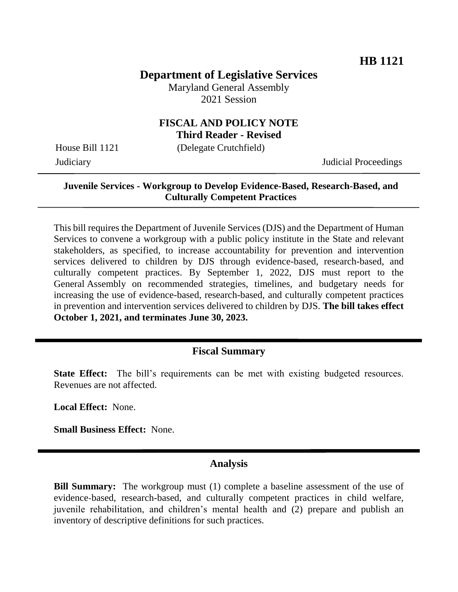### **Department of Legislative Services**

Maryland General Assembly 2021 Session

# **FISCAL AND POLICY NOTE**

**Third Reader - Revised**

House Bill 1121 (Delegate Crutchfield)

Judiciary Judicial Proceedings

#### **Juvenile Services - Workgroup to Develop Evidence-Based, Research-Based, and Culturally Competent Practices**

This bill requires the Department of Juvenile Services (DJS) and the Department of Human Services to convene a workgroup with a public policy institute in the State and relevant stakeholders, as specified, to increase accountability for prevention and intervention services delivered to children by DJS through evidence-based, research-based, and culturally competent practices. By September 1, 2022, DJS must report to the General Assembly on recommended strategies, timelines, and budgetary needs for increasing the use of evidence-based, research-based, and culturally competent practices in prevention and intervention services delivered to children by DJS. **The bill takes effect October 1, 2021, and terminates June 30, 2023.**

#### **Fiscal Summary**

**State Effect:** The bill's requirements can be met with existing budgeted resources. Revenues are not affected.

**Local Effect:** None.

**Small Business Effect:** None.

### **Analysis**

**Bill Summary:** The workgroup must (1) complete a baseline assessment of the use of evidence-based, research-based, and culturally competent practices in child welfare, juvenile rehabilitation, and children's mental health and (2) prepare and publish an inventory of descriptive definitions for such practices.